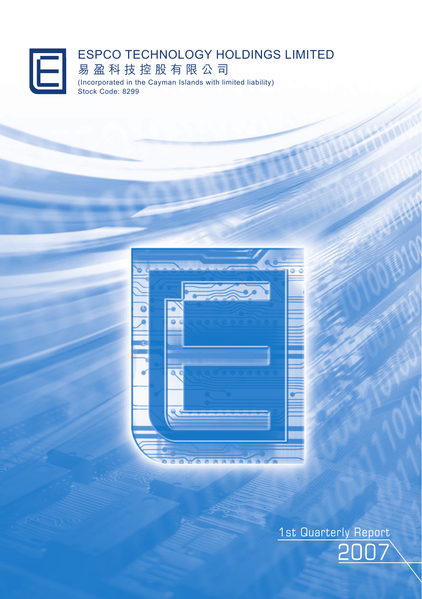### ESPCO TECHNOLOGY HOLDINGS LIMITED  $\boxdot$ 易 盈 科 技 控 股 有 限 公 司 (Incorporated in the Cayman Islands with limited liability) Stock Code: 8299



2007 1st Quarterly Report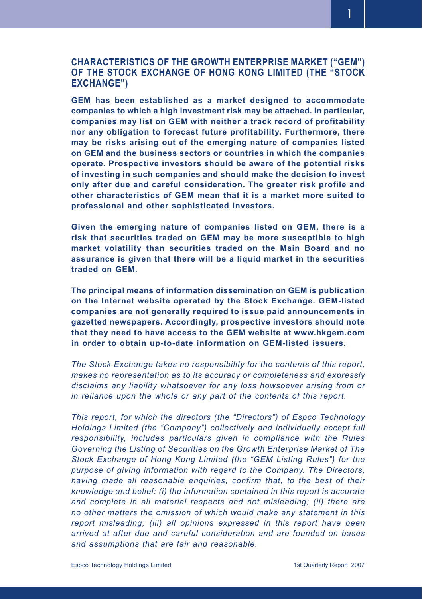**CHARACTERISTICS OF THE GROWTH ENTERPRISE MARKET ("GEM") OF THE STOCK EXCHANGE OF HONG KONG LIMITED (THE "STOCK EXCHANGE")**

**GEM has been established as a market designed to accommodate companies to which a high investment risk may be attached. In particular, companies may list on GEM with neither a track record of profitability nor any obligation to forecast future profitability. Furthermore, there may be risks arising out of the emerging nature of companies listed on GEM and the business sectors or countries in which the companies operate. Prospective investors should be aware of the potential risks of investing in such companies and should make the decision to invest only after due and careful consideration. The greater risk profile and other characteristics of GEM mean that it is a market more suited to professional and other sophisticated investors.**

**Given the emerging nature of companies listed on GEM, there is a risk that securities traded on GEM may be more susceptible to high market volatility than securities traded on the Main Board and no assurance is given that there will be a liquid market in the securities traded on GEM.**

**The principal means of information dissemination on GEM is publication on the Internet website operated by the Stock Exchange. GEM-listed companies are not generally required to issue paid announcements in gazetted newspapers. Accordingly, prospective investors should note that they need to have access to the GEM website at www.hkgem.com in order to obtain up-to-date information on GEM-listed issuers.**

*The Stock Exchange takes no responsibility for the contents of this report, makes no representation as to its accuracy or completeness and expressly disclaims any liability whatsoever for any loss howsoever arising from or in reliance upon the whole or any part of the contents of this report.*

*This report, for which the directors (the "Directors") of Espco Technology Holdings Limited (the "Company") collectively and individually accept full responsibility, includes particulars given in compliance with the Rules Governing the Listing of Securities on the Growth Enterprise Market of The Stock Exchange of Hong Kong Limited (the "GEM Listing Rules") for the purpose of giving information with regard to the Company. The Directors, having made all reasonable enquiries, confirm that, to the best of their knowledge and belief: (i) the information contained in this report is accurate and complete in all material respects and not misleading; (ii) there are no other matters the omission of which would make any statement in this report misleading; (iii) all opinions expressed in this report have been arrived at after due and careful consideration and are founded on bases and assumptions that are fair and reasonable.*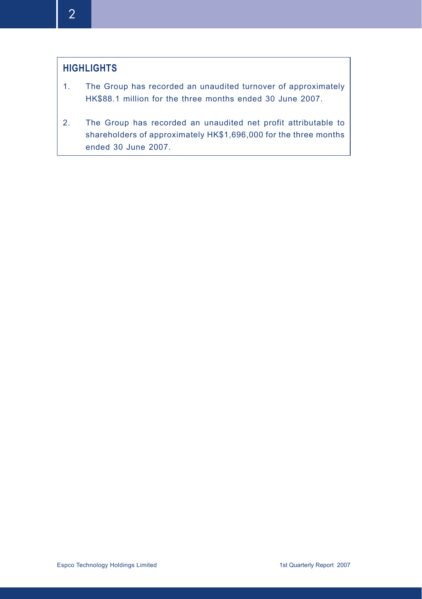# **HIGHLIGHTS**

- 1. The Group has recorded an unaudited turnover of approximately HK\$88.1 million for the three months ended 30 June 2007.
- 2. The Group has recorded an unaudited net profit attributable to shareholders of approximately HK\$1,696,000 for the three months ended 30 June 2007.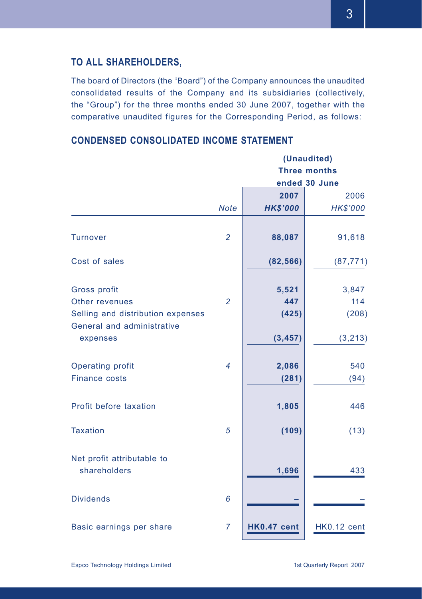# **TO ALL SHAREHOLDERS,**

The board of Directors (the "Board") of the Company announces the unaudited consolidated results of the Company and its subsidiaries (collectively, the "Group") for the three months ended 30 June 2007, together with the comparative unaudited figures for the Corresponding Period, as follows:

# **CONDENSED CONSOLIDATED INCOME STATEMENT**

|                                                                 | (Unaudited)    |                     |                 |  |
|-----------------------------------------------------------------|----------------|---------------------|-----------------|--|
|                                                                 |                | <b>Three months</b> |                 |  |
|                                                                 |                |                     | ended 30 June   |  |
|                                                                 |                | 2007                | 2006            |  |
|                                                                 | <b>Note</b>    | <b>HK\$'000</b>     | <b>HK\$'000</b> |  |
| <b>Turnover</b>                                                 | $\overline{2}$ | 88,087              | 91,618          |  |
| Cost of sales                                                   |                | (82, 566)           | (87, 771)       |  |
| Gross profit                                                    |                | 5,521               | 3,847           |  |
| Other revenues                                                  | $\overline{2}$ | 447                 | 114             |  |
| Selling and distribution expenses<br>General and administrative |                | (425)               | (208)           |  |
| expenses                                                        |                | (3, 457)            | (3, 213)        |  |
| Operating profit                                                | $\overline{4}$ | 2,086               | 540             |  |
| <b>Finance costs</b>                                            |                | (281)               | (94)            |  |
| Profit before taxation                                          |                | 1,805               | 446             |  |
| <b>Taxation</b>                                                 | 5              | (109)               | (13)            |  |
| Net profit attributable to<br>shareholders                      |                | 1,696               | 433             |  |
| <b>Dividends</b>                                                | 6              |                     |                 |  |
| Basic earnings per share                                        | $\overline{7}$ | <b>HK0.47 cent</b>  | HK0.12 cent     |  |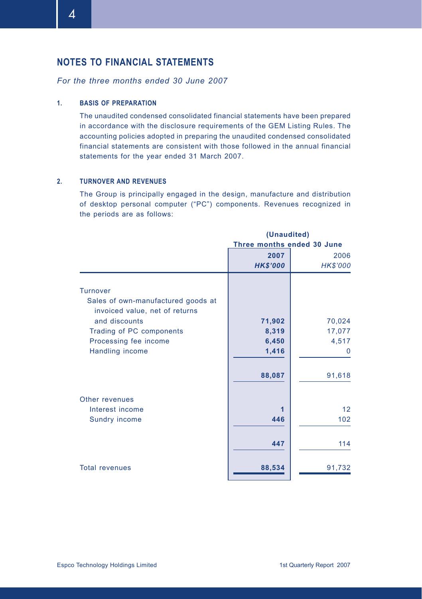# **NOTES TO FINANCIAL STATEMENTS**

### *For the three months ended 30 June 2007*

#### **1. BASIS OF PREPARATION**

The unaudited condensed consolidated financial statements have been prepared in accordance with the disclosure requirements of the GEM Listing Rules. The accounting policies adopted in preparing the unaudited condensed consolidated financial statements are consistent with those followed in the annual financial statements for the year ended 31 March 2007.

#### **2. TURNOVER AND REVENUES**

The Group is principally engaged in the design, manufacture and distribution of desktop personal computer ("PC") components. Revenues recognized in the periods are as follows:

|                                                                                         | (Unaudited)<br>Three months ended 30 June |                         |  |
|-----------------------------------------------------------------------------------------|-------------------------------------------|-------------------------|--|
|                                                                                         | 2007<br><b>HK\$'000</b>                   | 2006<br><b>HK\$'000</b> |  |
| <b>Turnover</b><br>Sales of own-manufactured goods at<br>invoiced value, net of returns |                                           |                         |  |
| and discounts                                                                           | 71,902                                    | 70,024                  |  |
| Trading of PC components                                                                | 8,319<br>6,450                            | 17,077<br>4,517         |  |
| Processing fee income<br>Handling income                                                | 1,416                                     | $\Omega$                |  |
|                                                                                         | 88,087                                    | 91,618                  |  |
| Other revenues                                                                          |                                           |                         |  |
| Interest income<br>Sundry income                                                        | 1<br>446                                  | 12<br>102               |  |
|                                                                                         | 447                                       | 114                     |  |
| <b>Total revenues</b>                                                                   | 88,534                                    | 91,732                  |  |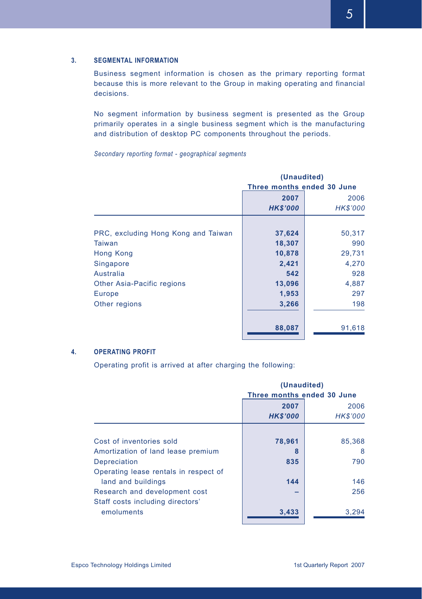#### **3. SEGMENTAL INFORMATION**

Business segment information is chosen as the primary reporting format because this is more relevant to the Group in making operating and financial decisions.

No segment information by business segment is presented as the Group primarily operates in a single business segment which is the manufacturing and distribution of desktop PC components throughout the periods.

*Secondary reporting format - geographical segments*

|                                     | (Unaudited)<br>Three months ended 30 June |                 |  |
|-------------------------------------|-------------------------------------------|-----------------|--|
|                                     | 2007                                      | 2006            |  |
|                                     | <b>HK\$'000</b>                           | <b>HK\$'000</b> |  |
|                                     |                                           |                 |  |
| PRC, excluding Hong Kong and Taiwan | 37,624                                    | 50,317          |  |
| Taiwan                              | 18,307                                    | 990             |  |
| <b>Hong Kong</b>                    | 10,878                                    | 29,731          |  |
| Singapore                           | 2,421                                     | 4,270           |  |
| Australia                           | 542                                       | 928             |  |
| Other Asia-Pacific regions          | 13,096                                    | 4,887           |  |
| Europe                              | 1,953                                     | 297             |  |
| Other regions                       | 3,266                                     | 198             |  |
|                                     |                                           |                 |  |
|                                     | 88,087                                    | 91,618          |  |

#### **4. OPERATING PROFIT**

Operating profit is arrived at after charging the following:

|                                       | (Unaudited)                |                |  |
|---------------------------------------|----------------------------|----------------|--|
|                                       | Three months ended 30 June |                |  |
|                                       | 2007                       | 2006           |  |
|                                       | <b>HK\$'000</b>            | <b>HKS'000</b> |  |
|                                       |                            |                |  |
| Cost of inventories sold              | 78,961                     | 85,368         |  |
| Amortization of land lease premium    | 8                          | 8              |  |
| Depreciation                          | 835                        | 790            |  |
| Operating lease rentals in respect of |                            |                |  |
| land and buildings                    | 144                        | 146            |  |
| Research and development cost         |                            | 256            |  |
| Staff costs including directors'      |                            |                |  |
| emoluments                            | 3,433                      | 3,294          |  |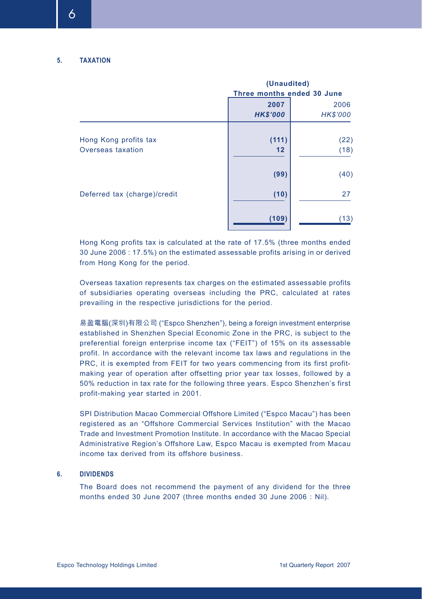|                              | (Unaudited)<br>Three months ended 30 June |                 |  |
|------------------------------|-------------------------------------------|-----------------|--|
|                              |                                           |                 |  |
|                              | 2007                                      | 2006            |  |
|                              | <b>HK\$'000</b>                           | <b>HK\$'000</b> |  |
|                              |                                           |                 |  |
| Hong Kong profits tax        | (111)                                     | (22)            |  |
| Overseas taxation            | 12                                        | (18)            |  |
|                              | (99)                                      | (40)            |  |
| Deferred tax (charge)/credit | (10)                                      | 27              |  |
|                              | (109)                                     | (13)            |  |

Hong Kong profits tax is calculated at the rate of 17.5% (three months ended 30 June 2006 : 17.5%) on the estimated assessable profits arising in or derived from Hong Kong for the period.

Overseas taxation represents tax charges on the estimated assessable profits of subsidiaries operating overseas including the PRC, calculated at rates prevailing in the respective jurisdictions for the period.

易盈電腦(深圳)有限公司 ("Espco Shenzhen"), being a foreign investment enterprise established in Shenzhen Special Economic Zone in the PRC, is subject to the preferential foreign enterprise income tax ("FEIT") of 15% on its assessable profit. In accordance with the relevant income tax laws and regulations in the PRC, it is exempted from FEIT for two years commencing from its first profitmaking year of operation after offsetting prior year tax losses, followed by a 50% reduction in tax rate for the following three years. Espco Shenzhen's first profit-making year started in 2001.

SPI Distribution Macao Commercial Offshore Limited ("Espco Macau") has been registered as an "Offshore Commercial Services Institution" with the Macao Trade and Investment Promotion Institute. In accordance with the Macao Special Administrative Region's Offshore Law, Espco Macau is exempted from Macau income tax derived from its offshore business.

#### **6. DIVIDENDS**

The Board does not recommend the payment of any dividend for the three months ended 30 June 2007 (three months ended 30 June 2006 : Nil).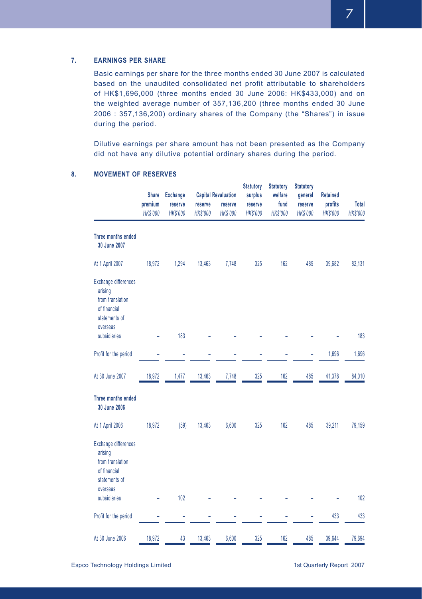#### **7. EARNINGS PER SHARE**

Basic earnings per share for the three months ended 30 June 2007 is calculated based on the unaudited consolidated net profit attributable to shareholders of HK\$1,696,000 (three months ended 30 June 2006: HK\$433,000) and on the weighted average number of 357,136,200 (three months ended 30 June 2006 : 357,136,200) ordinary shares of the Company (the "Shares") in issue during the period.

Dilutive earnings per share amount has not been presented as the Company did not have any dilutive potential ordinary shares during the period.

|                                                                                                         | <b>Share</b><br>premium<br><b>HKS'000</b> | <b>Exchange</b><br>reserve<br><b>HKS'000</b> | reserve<br><b>HKS'000</b> | <b>Capital Revaluation</b><br>reserve<br><b>HKS'000</b> | <b>Statutory</b><br>surplus<br>reserve<br><b>HKS'000</b> | <b>Statutory</b><br>welfare<br>fund<br><b>HKS'000</b> | <b>Statutory</b><br>general<br>reserve<br><b>HKS'000</b> | <b>Retained</b><br>profits<br><b>HKS'000</b> | Total<br><b>HKS'000</b> |
|---------------------------------------------------------------------------------------------------------|-------------------------------------------|----------------------------------------------|---------------------------|---------------------------------------------------------|----------------------------------------------------------|-------------------------------------------------------|----------------------------------------------------------|----------------------------------------------|-------------------------|
| Three months ended<br>30 June 2007                                                                      |                                           |                                              |                           |                                                         |                                                          |                                                       |                                                          |                                              |                         |
| At 1 April 2007                                                                                         | 18,972                                    | 1,294                                        | 13,463                    | 7,748                                                   | 325                                                      | 162                                                   | 485                                                      | 39,682                                       | 82,131                  |
| <b>Exchange differences</b><br>arising<br>from translation<br>of financial<br>statements of<br>overseas |                                           |                                              |                           |                                                         |                                                          |                                                       |                                                          |                                              |                         |
| subsidiaries                                                                                            |                                           | 183                                          |                           |                                                         |                                                          |                                                       |                                                          |                                              | 183                     |
| Profit for the period                                                                                   |                                           |                                              |                           |                                                         |                                                          |                                                       |                                                          | 1,696                                        | 1,696                   |
| At 30 June 2007                                                                                         | 18,972                                    | 1,477                                        | 13,463                    | 7,748                                                   | 325                                                      | 162                                                   | 485                                                      | 41,378                                       | 84,010                  |
| Three months ended<br>30 June 2006                                                                      |                                           |                                              |                           |                                                         |                                                          |                                                       |                                                          |                                              |                         |
| At 1 April 2006                                                                                         | 18,972                                    | (59)                                         | 13,463                    | 6,600                                                   | 325                                                      | 162                                                   | 485                                                      | 39,211                                       | 79,159                  |
| Exchange differences<br>arising<br>from translation<br>of financial<br>statements of<br>overseas        |                                           |                                              |                           |                                                         |                                                          |                                                       |                                                          |                                              |                         |
| subsidiaries                                                                                            |                                           | 102                                          |                           |                                                         |                                                          |                                                       |                                                          |                                              | 102                     |
| Profit for the period                                                                                   |                                           |                                              |                           |                                                         |                                                          |                                                       |                                                          | 433                                          | 433                     |
| At 30 June 2006                                                                                         | 18,972                                    | 43                                           | 13,463                    | 6,600                                                   | 325                                                      | 162                                                   | 485                                                      | 39,644                                       | 79,694                  |

#### **8. MOVEMENT OF RESERVES**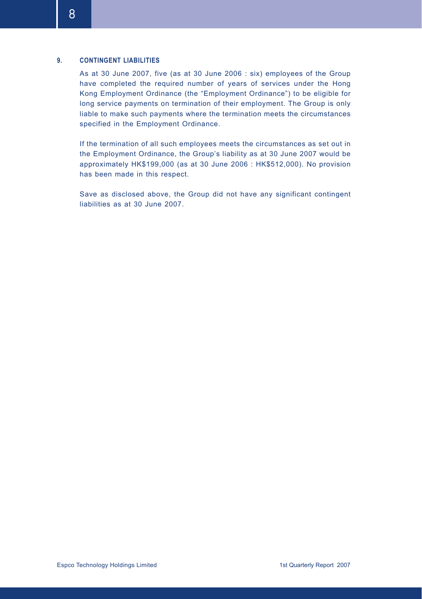#### **9. CONTINGENT LIABILITIES**

As at 30 June 2007, five (as at 30 June 2006 : six) employees of the Group have completed the required number of years of services under the Hong Kong Employment Ordinance (the "Employment Ordinance") to be eligible for long service payments on termination of their employment. The Group is only liable to make such payments where the termination meets the circumstances specified in the Employment Ordinance.

If the termination of all such employees meets the circumstances as set out in the Employment Ordinance, the Group's liability as at 30 June 2007 would be approximately HK\$199,000 (as at 30 June 2006 : HK\$512,000). No provision has been made in this respect.

Save as disclosed above, the Group did not have any significant contingent liabilities as at 30 June 2007.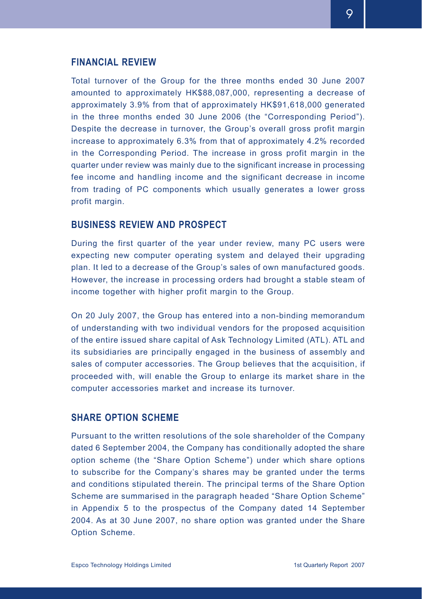## **FINANCIAL REVIEW**

Total turnover of the Group for the three months ended 30 June 2007 amounted to approximately HK\$88,087,000, representing a decrease of approximately 3.9% from that of approximately HK\$91,618,000 generated in the three months ended 30 June 2006 (the "Corresponding Period"). Despite the decrease in turnover, the Group's overall gross profit margin increase to approximately 6.3% from that of approximately 4.2% recorded in the Corresponding Period. The increase in gross profit margin in the quarter under review was mainly due to the significant increase in processing fee income and handling income and the significant decrease in income from trading of PC components which usually generates a lower gross profit margin.

## **BUSINESS REVIEW AND PROSPECT**

During the first quarter of the year under review, many PC users were expecting new computer operating system and delayed their upgrading plan. It led to a decrease of the Group's sales of own manufactured goods. However, the increase in processing orders had brought a stable steam of income together with higher profit margin to the Group.

On 20 July 2007, the Group has entered into a non-binding memorandum of understanding with two individual vendors for the proposed acquisition of the entire issued share capital of Ask Technology Limited (ATL). ATL and its subsidiaries are principally engaged in the business of assembly and sales of computer accessories. The Group believes that the acquisition, if proceeded with, will enable the Group to enlarge its market share in the computer accessories market and increase its turnover.

## **SHARE OPTION SCHEME**

Pursuant to the written resolutions of the sole shareholder of the Company dated 6 September 2004, the Company has conditionally adopted the share option scheme (the "Share Option Scheme") under which share options to subscribe for the Company's shares may be granted under the terms and conditions stipulated therein. The principal terms of the Share Option Scheme are summarised in the paragraph headed "Share Option Scheme" in Appendix 5 to the prospectus of the Company dated 14 September 2004. As at 30 June 2007, no share option was granted under the Share Option Scheme.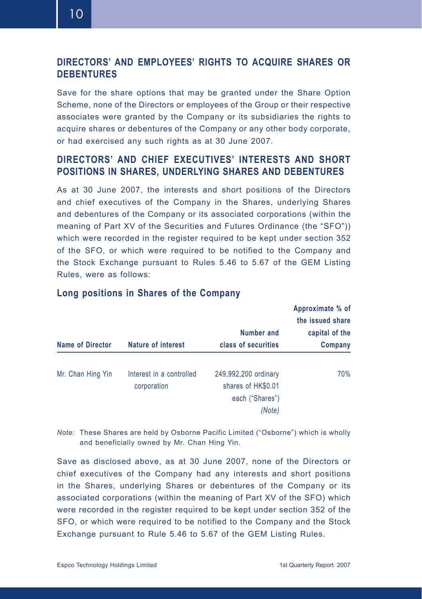10

# **DIRECTORS' AND EMPLOYEES' RIGHTS TO ACQUIRE SHARES OR DEBENTURES**

Save for the share options that may be granted under the Share Option Scheme, none of the Directors or employees of the Group or their respective associates were granted by the Company or its subsidiaries the rights to acquire shares or debentures of the Company or any other body corporate, or had exercised any such rights as at 30 June 2007.

# **DIRECTORS' AND CHIEF EXECUTIVES' INTERESTS AND SHORT POSITIONS IN SHARES, UNDERLYING SHARES AND DEBENTURES**

As at 30 June 2007, the interests and short positions of the Directors and chief executives of the Company in the Shares, underlying Shares and debentures of the Company or its associated corporations (within the meaning of Part XV of the Securities and Futures Ordinance (the "SFO")) which were recorded in the register required to be kept under section 352 of the SFO, or which were required to be notified to the Company and the Stock Exchange pursuant to Rules 5.46 to 5.67 of the GEM Listing Rules, were as follows:

| <b>Name of Director</b> | Nature of interest                      | <b>Number and</b><br>class of securities                                | the issued share<br>capital of the<br>Company |
|-------------------------|-----------------------------------------|-------------------------------------------------------------------------|-----------------------------------------------|
| Mr. Chan Hing Yin       | Interest in a controlled<br>corporation | 249,992,200 ordinary<br>shares of HK\$0.01<br>each ("Shares")<br>(Note) | 70%                                           |

## **Long positions in Shares of the Company**

*Note:* These Shares are held by Osborne Pacific Limited ("Osborne") which is wholly and beneficially owned by Mr. Chan Hing Yin.

Save as disclosed above, as at 30 June 2007, none of the Directors or chief executives of the Company had any interests and short positions in the Shares, underlying Shares or debentures of the Company or its associated corporations (within the meaning of Part XV of the SFO) which were recorded in the register required to be kept under section 352 of the SFO, or which were required to be notified to the Company and the Stock Exchange pursuant to Rule 5.46 to 5.67 of the GEM Listing Rules.

**Approximate % of**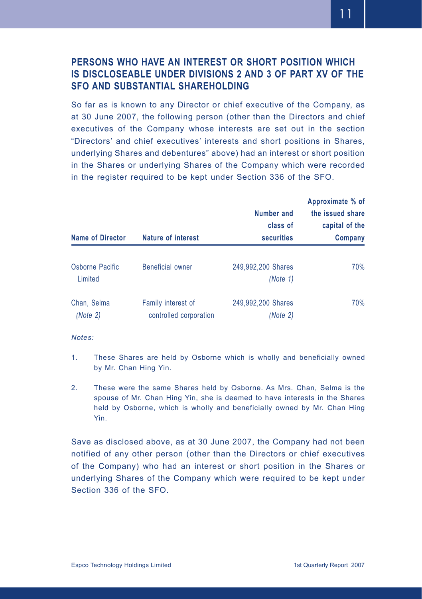# **PERSONS WHO HAVE AN INTEREST OR SHORT POSITION WHICH IS DISCLOSEABLE UNDER DIVISIONS 2 AND 3 OF PART XV OF THE SFO AND SUBSTANTIAL SHARFHOLDING**

So far as is known to any Director or chief executive of the Company, as at 30 June 2007, the following person (other than the Directors and chief executives of the Company whose interests are set out in the section "Directors' and chief executives' interests and short positions in Shares, underlying Shares and debentures" above) had an interest or short position in the Shares or underlying Shares of the Company which were recorded in the register required to be kept under Section 336 of the SFO.

| <b>Name of Director</b>    | Nature of interest                           | Number and<br>class of<br><b>securities</b> | Approximate % of<br>the issued share<br>capital of the<br>Company |  |
|----------------------------|----------------------------------------------|---------------------------------------------|-------------------------------------------------------------------|--|
| Osborne Pacific<br>Limited | <b>Beneficial owner</b>                      | 249,992,200 Shares<br>(Note 1)              | 70%                                                               |  |
| Chan, Selma<br>(Note 2)    | Family interest of<br>controlled corporation | 249,992,200 Shares<br>(Note 2)              | 70%                                                               |  |

*Notes:*

- 1. These Shares are held by Osborne which is wholly and beneficially owned by Mr. Chan Hing Yin.
- 2. These were the same Shares held by Osborne. As Mrs. Chan, Selma is the spouse of Mr. Chan Hing Yin, she is deemed to have interests in the Shares held by Osborne, which is wholly and beneficially owned by Mr. Chan Hing Yin.

Save as disclosed above, as at 30 June 2007, the Company had not been notified of any other person (other than the Directors or chief executives of the Company) who had an interest or short position in the Shares or underlying Shares of the Company which were required to be kept under Section 336 of the SFO.